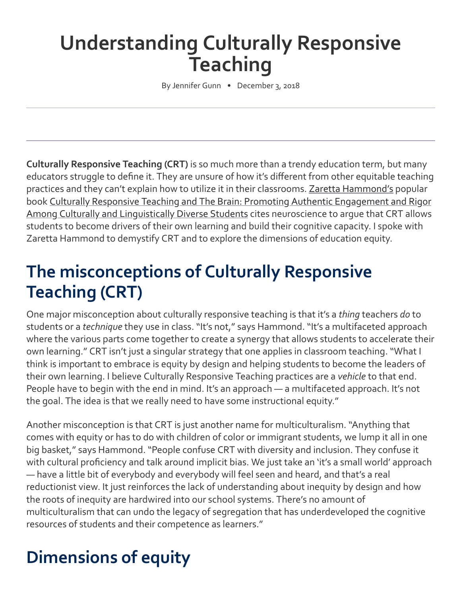# **Understanding Culturally Responsive Teaching**

By Jennifer Gunn • December 3, 2018

**Culturally Responsive Teaching (CRT)** is so much more than a trendy education term, but many educators struggle to define it. They are unsure of how it's different from other equitable teaching practices and they can't explain how to utilize it in their classrooms. [Zaretta Hammond's](https://twitter.com/Ready4rigor?lang=en) popular book [Culturally Responsive Teaching and The Brain: Promoting Authentic Engagement and Rigor](https://www.amazon.com/Culturally-Responsive-Teaching-Brain-Linguistically/dp/1483308014/ref=sr_1_fkmr0_1?s=books&ie=UTF8&qid=1537738973&sr=1-1-fkmr0&keywords=Zaretta+Hammond+%3Czlhammond%40aol.com%3E) Among Culturally and Linguistically Diverse Students cites neuroscience to argue that CRT allows students to become drivers of their own learning and build their cognitive capacity. I spoke with Zaretta Hammond to demystify CRT and to explore the dimensions of education equity.

### **The misconceptions of Culturally Responsive Teaching (CRT)**

One major misconception about culturally responsive teaching is that it's a *thing* teachers *do* to students or a *technique* they use in class. "It's not," says Hammond. "It's a multifaceted approach where the various parts come together to create a synergy that allows students to accelerate their own learning." CRT isn't just a singular strategy that one applies in classroom teaching. "What I think is important to embrace is equity by design and helping students to become the leaders of their own learning. I believe Culturally Responsive Teaching practices are a *vehicle* to that end. People have to begin with the end in mind. It's an approach — a multifaceted approach. It's not the goal. The idea is that we really need to have some instructional equity."

Another misconception is that CRT is just another name for multiculturalism. "Anything that comes with equity or has to do with children of color or immigrant students, we lump it all in one big basket," says Hammond. "People confuse CRT with diversity and inclusion. They confuse it with cultural proficiency and talk around implicit bias. We just take an 'it's a small world' approach — have a little bit of everybody and everybody will feel seen and heard, and that's a real reductionist view. It just reinforces the lack of understanding about inequity by design and how the roots of inequity are hardwired into our school systems. There's no amount of multiculturalism that can undo the legacy of segregation that has underdeveloped the cognitive resources of students and their competence as learners."

## **Dimensions of equity**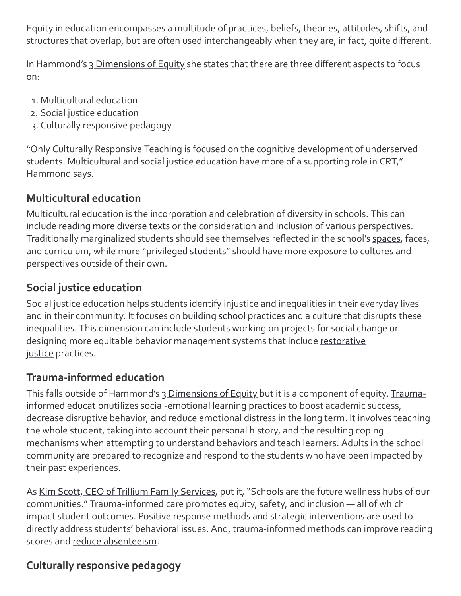Equity in education encompasses a multitude of practices, beliefs, theories, attitudes, shifts, and structures that overlap, but are often used interchangeably when they are, in fact, quite different.

In Hammond's [3 Dimensions of Equity](https://tamresource.weebly.com/uploads/3/9/8/3/39835565/dimensions_of_equity.pdf) she states that there are three different aspects to focus on:

- 1. Multicultural education
- 2. Social justice education
- 3. Culturally responsive pedagogy

"Only Culturally Responsive Teaching is focused on the cognitive development of underserved students. Multicultural and social justice education have more of a supporting role in CRT," Hammond says.

#### **Multicultural education**

Multicultural education is the incorporation and celebration of diversity in schools. This can include [reading more diverse texts](https://education.cu-portland.edu/blog/classroom-resources/diverse-childrens-books/) or the consideration and inclusion of various perspectives. Traditionally marginalized students should see themselves reflected in the school's [spaces](https://education.cu-portland.edu/blog/classroom-resources/creating-safe-spaces/), faces, and curriculum, while more ["privileged students"](https://tamresource.weebly.com/uploads/3/9/8/3/39835565/dimensions_of_equity.pdf) should have more exposure to cultures and perspectives outside of their own.

#### **Social justice education**

Social justice education helps students identify injustice and inequalities in their everyday lives and in their community. It focuses on [building school practices](https://www.tolerance.org/professional-development/social-justice-standards-the-teaching-tolerance-antibias-framework) and a [culture](https://education.cu-portland.edu/blog/curriculum-teaching-strategies/positive-school-culture/) that disrupts these inequalities. This dimension can include students working on projects for social change or [designing more equitable behavior management systems that include](https://www.edutopia.org/article/how-restorative-justice-helps-students-learn) restorative justice practices.

#### **Trauma-informed education**

This falls outside of Hammond's [3 Dimensions of Equity](https://tamresource.weebly.com/uploads/3/9/8/3/39835565/dimensions_of_equity.pdf) but it is a component of equity. Traumainformed educationutilizes [social-emotional learning practices](https://education.cu-portland.edu/college-of-education/masters/curriculum-and-instruction/trauma-resilience/?source=seo-coe-blog) to boost academic success, decrease disruptive behavior, and reduce emotional distress in the long term. It involves teaching the whole student, taking into account their personal history, and the resulting coping mechanisms when attempting to understand behaviors and teach learners. Adults in the school community are prepared to recognize and respond to the students who have been impacted by their past experiences.

As [Kim Scott, CEO of Trillium Family Services](https://education.cu-portland.edu/blog/news/trauma-informed-transformations-in-education/), put it, "Schools are the future wellness hubs of our communities." Trauma-informed care promotes equity, safety, and inclusion — all of which impact student outcomes. Positive response methods and strategic interventions are used to directly address students' behavioral issues. And, trauma-informed methods can improve reading scores and [reduce absenteeism](https://education.cu-portland.edu/blog/leaders-link/excessive-absenteeism-strategies/).

### **Culturally responsive pedagogy**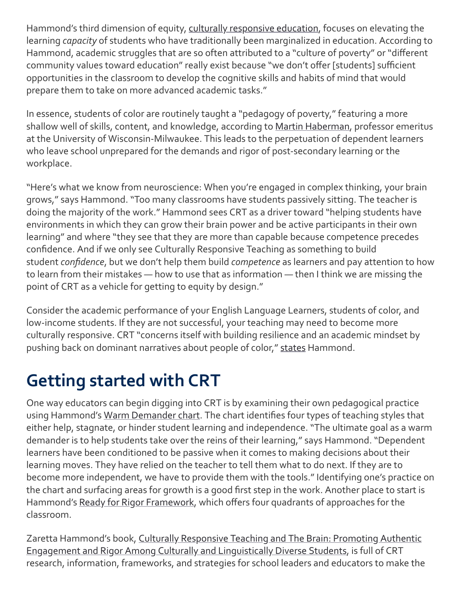Hammond's third dimension of equity, [culturally responsive education](https://tamresource.weebly.com/uploads/3/9/8/3/39835565/dimensions_of_equity.pdf), focuses on elevating the learning *capacity* of students who have traditionally been marginalized in education. According to Hammond, academic struggles that are so often attributed to a "culture of poverty" or "different community values toward education" really exist because "we don't offer [students] sufficient opportunities in the classroom to develop the cognitive skills and habits of mind that would prepare them to take on more advanced academic tasks."

In essence, students of color are routinely taught a "pedagogy of poverty," featuring a more shallow well of skills, content, and knowledge, according to [Martin Haberman,](https://www.pdkmembers.org/members_online/publications/Archive/pdf/PDK_92_2/81pdk_92_2.pdf) professor emeritus at the University of Wisconsin-Milwaukee. This leads to the perpetuation of dependent learners who leave school unprepared for the demands and rigor of post-secondary learning or the workplace.

"Here's what we know from neuroscience: When you're engaged in complex thinking, your brain grows," says Hammond. "Too many classrooms have students passively sitting. The teacher is doing the majority of the work." Hammond sees CRT as a driver toward "helping students have environments in which they can grow their brain power and be active participants in their own learning" and where "they see that they are more than capable because competence precedes confidence. And if we only see Culturally Responsive Teaching as something to build student *confidence*, but we don't help them build *competence* as learners and pay attention to how to learn from their mistakes — how to use that as information — then I think we are missing the point of CRT as a vehicle for getting to equity by design."

Consider the academic performance of your English Language Learners, students of color, and low-income students. If they are not successful, your teaching may need to become more culturally responsive. CRT "concerns itself with building resilience and an academic mindset by pushing back on dominant narratives about people of color," [states](https://tamresource.weebly.com/uploads/3/9/8/3/39835565/dimensions_of_equity.pdf) Hammond.

## **Getting started with CRT**

One way educators can begin digging into CRT is by examining their own pedagogical practice using Hammond's [Warm Demander chart](http://resources.corwin.com/sites/default/files/13._figure_6.2_warm_demander_chart.pdf). The chart identifies four types of teaching styles that either help, stagnate, or hinder student learning and independence. "The ultimate goal as a warm demander is to help students take over the reins of their learning," says Hammond. "Dependent learners have been conditioned to be passive when it comes to making decisions about their learning moves. They have relied on the teacher to tell them what to do next. If they are to become more independent, we have to provide them with the tools." Identifying one's practice on the chart and surfacing areas for growth is a good first step in the work. Another place to start is Hammond's [Ready for Rigor Framework,](https://crtandthebrain.com/wp-content/uploads/READY-FOR-RIGOR_Final1.pdf) which offers four quadrants of approaches for the classroom.

Zaretta Hammond's book, Culturally Responsive Teaching and The Brain: Promoting Authentic [Engagement and Rigor Among Culturally and Linguistically Diverse Students, is full of CRT](https://www.amazon.com/Culturally-Responsive-Teaching-Brain-Linguistically/dp/1483308014/ref=sr_1_fkmr0_1?s=books&ie=UTF8&qid=1537738973&sr=1-1-fkmr0&keywords=Zaretta+Hammond+%3Czlhammond%40aol.com%3E) research, information, frameworks, and strategies for school leaders and educators to make the